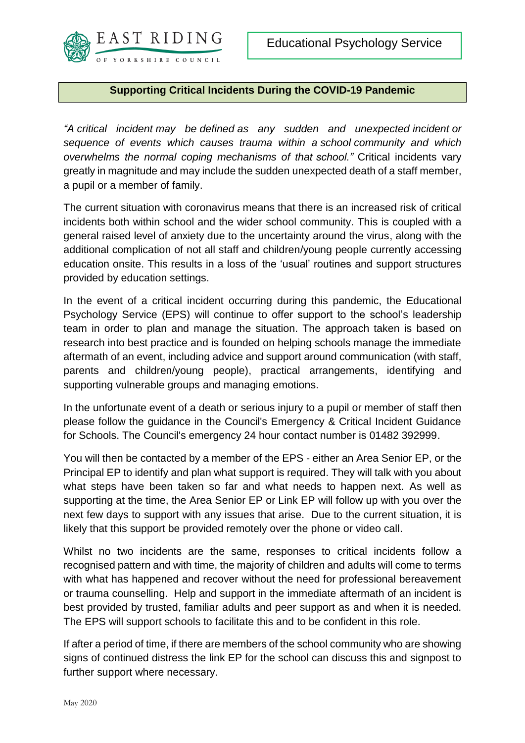

## **Supporting Critical Incidents During the COVID-19 Pandemic**

*"A critical incident may be defined as any sudden and unexpected incident or sequence of events which causes trauma within a school community and which overwhelms the normal coping mechanisms of that school."* Critical incidents vary greatly in magnitude and may include the sudden unexpected death of a staff member, a pupil or a member of family.

The current situation with coronavirus means that there is an increased risk of critical incidents both within school and the wider school community. This is coupled with a general raised level of anxiety due to the uncertainty around the virus, along with the additional complication of not all staff and children/young people currently accessing education onsite. This results in a loss of the 'usual' routines and support structures provided by education settings.

In the event of a critical incident occurring during this pandemic, the Educational Psychology Service (EPS) will continue to offer support to the school's leadership team in order to plan and manage the situation. The approach taken is based on research into best practice and is founded on helping schools manage the immediate aftermath of an event, including advice and support around communication (with staff, parents and children/young people), practical arrangements, identifying and supporting vulnerable groups and managing emotions.

In the unfortunate event of a death or serious injury to a pupil or member of staff then please follow the guidance in the Council's Emergency & Critical Incident Guidance for Schools. The Council's emergency 24 hour contact number is 01482 392999.

You will then be contacted by a member of the EPS - either an Area Senior EP, or the Principal EP to identify and plan what support is required. They will talk with you about what steps have been taken so far and what needs to happen next. As well as supporting at the time, the Area Senior EP or Link EP will follow up with you over the next few days to support with any issues that arise. Due to the current situation, it is likely that this support be provided remotely over the phone or video call.

Whilst no two incidents are the same, responses to critical incidents follow a recognised pattern and with time, the majority of children and adults will come to terms with what has happened and recover without the need for professional bereavement or trauma counselling. Help and support in the immediate aftermath of an incident is best provided by trusted, familiar adults and peer support as and when it is needed. The EPS will support schools to facilitate this and to be confident in this role.

If after a period of time, if there are members of the school community who are showing signs of continued distress the link EP for the school can discuss this and signpost to further support where necessary.